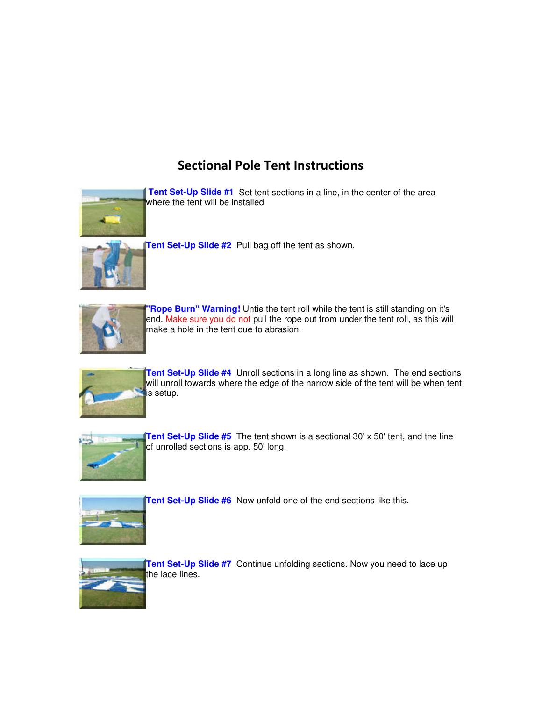## Sectional Pole Tent Instructions



**Tent Set-Up Slide #1** Set tent sections in a line, in the center of the area where the tent will be installed



**Tent Set-Up Slide #2** Pull bag off the tent as shown.



**"Rope Burn" Warning!** Untie the tent roll while the tent is still standing on it's end. Make sure you do not pull the rope out from under the tent roll, as this will make a hole in the tent due to abrasion.



**Tent Set-Up Slide #4** Unroll sections in a long line as shown. The end sections will unroll towards where the edge of the narrow side of the tent will be when tent is setup.



**Tent Set-Up Slide #5** The tent shown is a sectional 30' x 50' tent, and the line of unrolled sections is app. 50' long.



**Tent Set-Up Slide #6** Now unfold one of the end sections like this.



**Tent Set-Up Slide #7** Continue unfolding sections. Now you need to lace up the lace lines.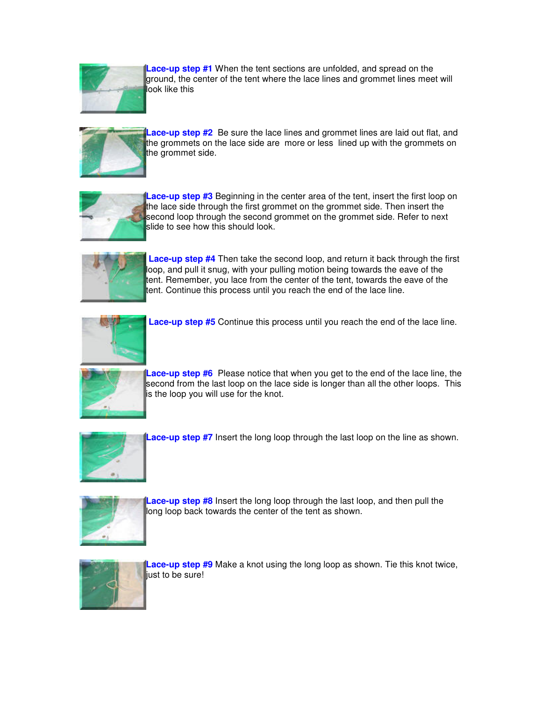

**Lace-up step #1** When the tent sections are unfolded, and spread on the ground, the center of the tent where the lace lines and grommet lines meet will look like this



**Lace-up step #2** Be sure the lace lines and grommet lines are laid out flat, and the grommets on the lace side are more or less lined up with the grommets on the grommet side.



**Lace-up step #3** Beginning in the center area of the tent, insert the first loop on the lace side through the first grommet on the grommet side. Then insert the second loop through the second grommet on the grommet side. Refer to next slide to see how this should look.



**Lace-up step #4** Then take the second loop, and return it back through the first loop, and pull it snug, with your pulling motion being towards the eave of the tent. Remember, you lace from the center of the tent, towards the eave of the tent. Continue this process until you reach the end of the lace line.



**Lace-up step #5** Continue this process until you reach the end of the lace line.



**Lace-up step #6** Please notice that when you get to the end of the lace line, the second from the last loop on the lace side is longer than all the other loops. This is the loop you will use for the knot.



**Lace-up step #7** Insert the long loop through the last loop on the line as shown.



**Lace-up step #8** Insert the long loop through the last loop, and then pull the long loop back towards the center of the tent as shown.



**Lace-up step #9** Make a knot using the long loop as shown. Tie this knot twice, liust to be sure!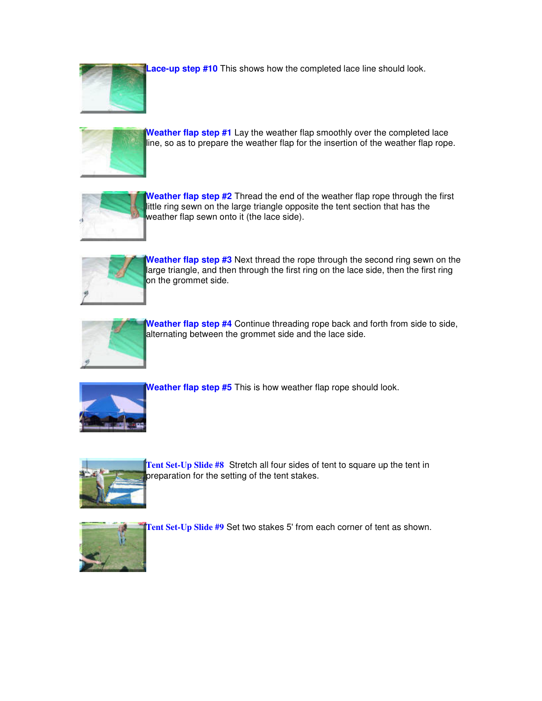

**Lace-up step #10** This shows how the completed lace line should look.



**Weather flap step #1** Lay the weather flap smoothly over the completed lace line, so as to prepare the weather flap for the insertion of the weather flap rope.



**Weather flap step #2** Thread the end of the weather flap rope through the first little ring sewn on the large triangle opposite the tent section that has the weather flap sewn onto it (the lace side).



**Weather flap step #3** Next thread the rope through the second ring sewn on the large triangle, and then through the first ring on the lace side, then the first ring on the grommet side.



Weather flap step #4 Continue threading rope back and forth from side to side, alternating between the grommet side and the lace side.



**Weather flap step #5** This is how weather flap rope should look.



**Tent Set-Up Slide #8** Stretch all four sides of tent to square up the tent in preparation for the setting of the tent stakes.



Tent Set-Up Slide #9 Set two stakes 5' from each corner of tent as shown.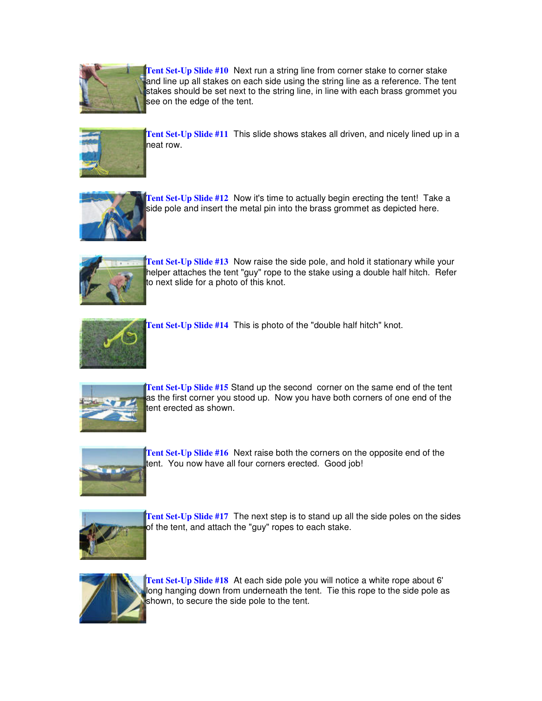

Tent Set-Up Slide #10 Next run a string line from corner stake to corner stake and line up all stakes on each side using the string line as a reference. The tent stakes should be set next to the string line, in line with each brass grommet you see on the edge of the tent.



**Tent Set-Up Slide #11** This slide shows stakes all driven, and nicely lined up in a neat row.



**Tent Set-Up Slide #12** Now it's time to actually begin erecting the tent! Take a side pole and insert the metal pin into the brass grommet as depicted here.



**Tent Set-Up Slide #13** Now raise the side pole, and hold it stationary while your helper attaches the tent "guy" rope to the stake using a double half hitch. Refer to next slide for a photo of this knot.



**Tent Set-Up Slide #14** This is photo of the "double half hitch" knot.



**Tent Set-Up Slide #15** Stand up the second corner on the same end of the tent as the first corner you stood up. Now you have both corners of one end of the tent erected as shown.



**Tent Set-Up Slide #16** Next raise both the corners on the opposite end of the tent. You now have all four corners erected. Good job!



**Tent Set-Up Slide #17** The next step is to stand up all the side poles on the sides of the tent, and attach the "guy" ropes to each stake.



**Tent Set-Up Slide #18** At each side pole you will notice a white rope about 6' long hanging down from underneath the tent. Tie this rope to the side pole as shown, to secure the side pole to the tent.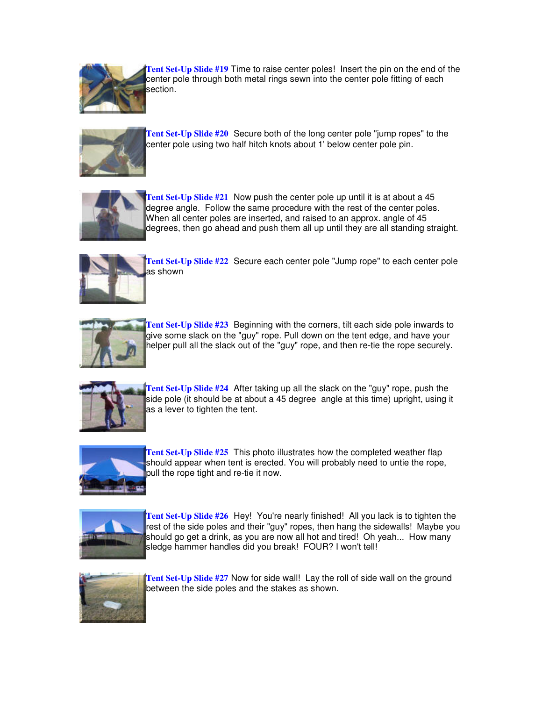

**Tent Set-Up Slide #19** Time to raise center poles! Insert the pin on the end of the center pole through both metal rings sewn into the center pole fitting of each section.



**Tent Set-Up Slide #20** Secure both of the long center pole "jump ropes" to the center pole using two half hitch knots about 1' below center pole pin.



**Tent Set-Up Slide #21** Now push the center pole up until it is at about a 45 degree angle. Follow the same procedure with the rest of the center poles. When all center poles are inserted, and raised to an approx. angle of 45 degrees, then go ahead and push them all up until they are all standing straight.



**Tent Set-Up Slide #22** Secure each center pole "Jump rope" to each center pole as shown



**Tent Set-Up Slide #23** Beginning with the corners, tilt each side pole inwards to give some slack on the "guy" rope. Pull down on the tent edge, and have your helper pull all the slack out of the "guy" rope, and then re-tie the rope securely.



**Tent Set-Up Slide #24** After taking up all the slack on the "guy" rope, push the side pole (it should be at about a 45 degree angle at this time) upright, using it as a lever to tighten the tent.



**Tent Set-Up Slide #25** This photo illustrates how the completed weather flap should appear when tent is erected. You will probably need to untie the rope, pull the rope tight and re-tie it now.



**Tent Set-Up Slide #26** Hey! You're nearly finished! All you lack is to tighten the rest of the side poles and their "guy" ropes, then hang the sidewalls! Maybe you should go get a drink, as you are now all hot and tired! Oh yeah... How many sledge hammer handles did you break! FOUR? I won't tell!



Tent Set-Up Slide #27 Now for side wall! Lay the roll of side wall on the ground between the side poles and the stakes as shown.